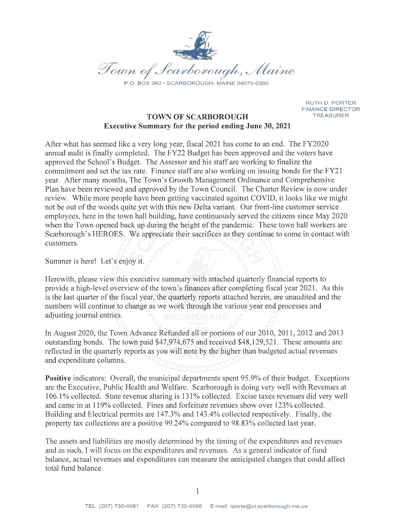

RUTH D. PORTER **FINANCE DIRECTOR TREASURER** 

## **TOWN OF SCARBOROUGH Executive Summary for the period ending June 30, 2021**

After what has seemed like a very long year, fiscal 2021 has come to an end. The FY2020 annual audit is finally completed. The FY22 Budget has been approved and the voters have approved the School's Budget. The Assessor and his staff are working to finalize the commitment and set the tax rate. Finance staff are also working on issuing bonds for the FY21 year. After many months, The Town's Growth Management Ordinance and Comprehensive Plan have been reviewed and approved by the Town Council. The Charter Review is now under review. While more people have been getting vaccinated against COVID, it looks like we might not be out of the woods quite yet with this new Delta variant. Our front-line customer service employees, here in the town hall building, have continuously served the citizens since May 2020 when the Town opened back up during the height of the pandemic. These town hall workers are Scarborough's HEROES. We appreciate their sacrifices as they continue to come in contact with customers.

Summer is here! Let's enjoy it.

Here with, please view this executive summary with attached quarterly financial reports to provide a high-level overview of the town's finances after completing fiscal year 2021. As this is the last quarter of the fiscal year, the quarterly reports attached herein, are unaudited and the numbers will continue to change as we work through the various year end processes and adjusting journal entries.

In August 2020, the Town Advance Refunded all or portions of our 2010, 2011, 2012 and 2013 outstanding bonds. The town paid \$47,974,675 and received \$48,129,521. These amounts are reflected in the quarterly reports as you will note by the higher than budgeted actual revenues and expenditure columns.

**Positive** indicators: Overall, the municipal departments spent 95.9% of their budget. Exceptions are the Executive, Public Health and Welfare. Scarborough is doing very well with Revenues at 106.1% collected. State revenue sharing is 131% collected. Excise taxes revenues did very well and came in at 119% collected. Fines and forfeiture revenues show over 123% collected. Building and Electrical permits are 147.3% and 143.4% collected respectively. Finally, the property tax collections are a positive 99.24% compared to 98.83% collected last year.

The assets and liabilities are mostly determined by the timing of the expenditures and revenues and as such, I will focus on the expenditures and revenues. As a general indicator of fund balance, actual revenues and expenditures can measure the anticipated changes that could affect total fund balance.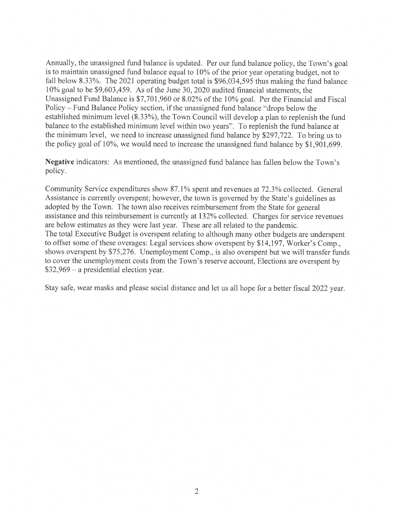Annually, the unassigned fund balance is updated. Per our fund balance policy, the Town's goal is to maintain unassigned fund balance equal to 10% of the prior year operating budget, not to fall below 8.33%. The 2021 operating budget total is \$96,034,595 thus making the fund balance 10% goal to be \$9,603,459. As of the June 30, 2020 audited financial statements, the Unassigned Fund Balance is \$7,701,960 or 8.02% of the 10% goal. Per the Financial and Fiscal Policy – Fund Balance Policy section, if the unassigned fund balance "drops below the established minimum level (8.33%), the Town Council will develop a plan to replenish the fund balance to the established minimum level within two years". To replenish the fund balance at the minimum level, we need to increase unassigned fund balance by \$297,722. To bring us to the policy goal of 10%, we would need to increase the unassigned fund balance by \$1,901,699.

Negative indicators: As mentioned, the unassigned fund balance has fallen below the Town's policy.

Community Service expenditures show 87.1% spent and revenues at 72.3% collected. General Assistance is currently overspent; however, the town is governed by the State's guidelines as adopted by the Town. The town also receives reimbursement from the State for general assistance and this reimbursement is currently at 132% collected. Charges for service revenues are below estimates as they were last year. These are all related to the pandemic. The total Executive Budget is overspent relating to although many other budgets are underspent to offset some of these overages: Legal services show overspent by \$14,197, Worker's Comp., shows overspent by \$75,276. Unemployment Comp., is also overspent but we will transfer funds to cover the unemployment costs from the Town's reserve account, Elections are overspent by  $$32,969 - a$  presidential election year.

Stay safe, wear masks and please social distance and let us all hope for a better fiscal 2022 year.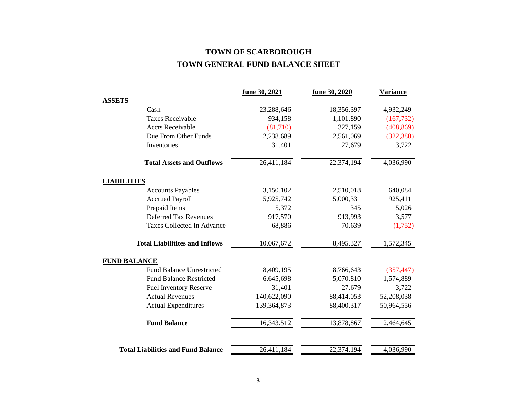# **TOWN OF SCARBOROUGH TOWN GENERAL FUND BALANCE SHEET**

|                                           | June 30, 2021 | June 30, 2020           | <b>Variance</b> |
|-------------------------------------------|---------------|-------------------------|-----------------|
| <b>ASSETS</b>                             |               |                         |                 |
| Cash                                      | 23,288,646    | 18,356,397              | 4,932,249       |
| <b>Taxes Receivable</b>                   | 934,158       | 1,101,890               | (167, 732)      |
| <b>Accts Receivable</b>                   | (81,710)      | 327,159                 | (408, 869)      |
| Due From Other Funds                      | 2,238,689     | 2,561,069               | (322, 380)      |
| Inventories                               | 31,401        | 27,679                  | 3,722           |
| <b>Total Assets and Outflows</b>          | 26,411,184    | $\overline{22,}374,194$ | 4,036,990       |
| <b>LIABILITIES</b>                        |               |                         |                 |
| <b>Accounts Payables</b>                  | 3,150,102     | 2,510,018               | 640,084         |
| <b>Accrued Payroll</b>                    | 5,925,742     | 5,000,331               | 925,411         |
| Prepaid Items                             | 5,372         | 345                     | 5,026           |
| <b>Deferred Tax Revenues</b>              | 917,570       | 913,993                 | 3,577           |
| <b>Taxes Collected In Advance</b>         | 68,886        | 70,639                  | (1,752)         |
| <b>Total Liabilitites and Inflows</b>     | 10,067,672    | 8,495,327               | 1,572,345       |
| <b>FUND BALANCE</b>                       |               |                         |                 |
| <b>Fund Balance Unrestricted</b>          | 8,409,195     | 8,766,643               | (357, 447)      |
| <b>Fund Balance Restricted</b>            | 6,645,698     | 5,070,810               | 1,574,889       |
| <b>Fuel Inventory Reserve</b>             | 31,401        | 27,679                  | 3,722           |
| <b>Actual Revenues</b>                    | 140,622,090   | 88,414,053              | 52,208,038      |
| <b>Actual Expenditures</b>                | 139,364,873   | 88,400,317              | 50,964,556      |
| <b>Fund Balance</b>                       | 16,343,512    | 13,878,867              | 2,464,645       |
| <b>Total Liabilities and Fund Balance</b> | 26,411,184    | 22,374,194              | 4,036,990       |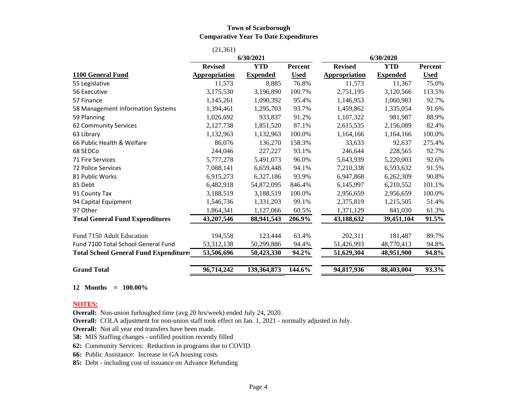#### **Town of Scarborough Comparative Year To Date Expenditures**

|                                               | (21, 361)            |                 |             |                      |                 |             |
|-----------------------------------------------|----------------------|-----------------|-------------|----------------------|-----------------|-------------|
|                                               | 6/30/2021            |                 |             | 6/30/2020            |                 |             |
|                                               | <b>Revised</b>       | <b>YTD</b>      | Percent     | <b>Revised</b>       | <b>YTD</b>      | Percent     |
| 1100 General Fund                             | <b>Appropriation</b> | <b>Expended</b> | <b>Used</b> | <b>Appropriation</b> | <b>Expended</b> | <b>Used</b> |
| 55 Legislative                                | 11,573               | 8,885           | 76.8%       | 11,573               | 11,367          | 75.0%       |
| 56 Executive                                  | 3,175,530            | 3,196,890       | 100.7%      | 2,751,195            | 3,120,566       | 113.5%      |
| 57 Finance                                    | 1,145,261            | 1,090,392       | 95.4%       | 1,146,953            | 1,060,983       | 92.7%       |
| 58 Management Information Systems             | 1,394,461            | 1,295,703       | 93.7%       | 1,459,862            | 1,335,054       | 91.6%       |
| 59 Planning                                   | 1,026,692            | 933,837         | 91.2%       | 1,107,322            | 981,987         | 88.9%       |
| 62 Community Services                         | 2,127,738            | 1,851,520       | 87.1%       | 2,615,535            | 2,156,089       | 82.4%       |
| 63 Library                                    | 1,132,963            | 1,132,963       | 100.0%      | 1,164,166            | 1,164,166       | 100.0%      |
| 66 Public Health & Welfare                    | 86,076               | 136,270         | 158.3%      | 33,633               | 92,637          | 275.4%      |
| 68 SEDCo                                      | 244,046              | 227,227         | 93.1%       | 246,644              | 228,565         | 92.7%       |
| <b>71 Fire Services</b>                       | 5,777,278            | 5,491,073       | 96.0%       | 5,643,939            | 5,220,003       | 92.6%       |
| 72 Police Services                            | 7,088,141            | 6,659,448       | 94.1%       | 7,210,338            | 6,593,632       | 91.5%       |
| 81 Public Works                               | 6,915,273            | 6,327,186       | 93.9%       | 6,947,868            | 6,262,309       | 90.8%       |
| 85 Debt                                       | 6,482,918            | 54,872,095      | 846.4%      | 6,145,997            | 6,210,552       | 101.1%      |
| 91 County Tax                                 | 3,188,519            | 3,188,519       | 100.0%      | 2,956,659            | 2,956,659       | 100.0%      |
| 94 Capital Equipment                          | 1,546,736            | 1,331,203       | 99.1%       | 2,375,819            | 1,215,505       | 51.4%       |
| 97 Other                                      | 1,864,341            | 1,127,066       | 60.5%       | 1,371,129            | 841,030         | 61.3%       |
| <b>Total General Fund Expenditures</b>        | 43,207,546           | 88,941,543      | 206.9%      | 43,188,632           | 39,451,104      | 91.5%       |
| Fund 7150 Adult Education                     | 194,558              | 123,444         | 63.4%       | 202,311              | 181,487         | 89.7%       |
| Fund 7100 Total School General Fund           | 53, 312, 138         | 50,299,886      | 94.4%       | 51,426,993           | 48,770,413      | 94.8%       |
| <b>Total School General Fund Expenditures</b> | 53,506,696           | 50,423,330      | 94.2%       | 51,629,304           | 48,951,900      | 94.8%       |
| <b>Grand Total</b>                            | 96,714,242           | 139,364,873     | 144.6%      | 94,817,936           | 88,403,004      | 93.3%       |

#### **12 Months = 100.00%**

#### **NOTES:**

**Overall:** Non-union furloughed time (avg 20 hrs/week) ended July 24, 2020.

**Overall:** COLA adjustment for non-union staff took effect on Jan. 1, 2021 - normally adjusted in July.

**Overall:** Not all year end transfers have been made.

**58:** MIS Staffing changes - unfilled position recently filled

**62:** Community Services: Reduction in programs due to COVID

**66:** Public Assistance: Increase in GA housing costs.

**85:** Debt - including cost of issuance on Advance Refunding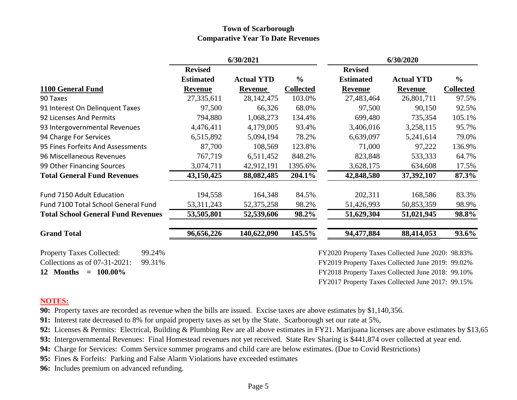## **Town of Scarborough Comparative Year To Date Revenues**

|                                            | 6/30/2021        |                   |                  |                                                   | 6/30/2020         |                  |
|--------------------------------------------|------------------|-------------------|------------------|---------------------------------------------------|-------------------|------------------|
|                                            | <b>Revised</b>   |                   |                  | <b>Revised</b>                                    |                   |                  |
|                                            | <b>Estimated</b> | <b>Actual YTD</b> | $\frac{6}{6}$    | <b>Estimated</b>                                  | <b>Actual YTD</b> | $\frac{6}{6}$    |
| 1100 General Fund                          | <b>Revenue</b>   | Revenue           | <b>Collected</b> | <b>Revenue</b>                                    | <b>Revenue</b>    | <b>Collected</b> |
| 90 Taxes                                   | 27,335,611       | 28,142,475        | 103.0%           | 27,483,464                                        | 26,801,711        | 97.5%            |
| 91 Interest On Delinquent Taxes            | 97,500           | 66,326            | 68.0%            | 97,500                                            | 90,150            | 92.5%            |
| 92 Licenses And Permits                    | 794,880          | 1,068,273         | 134.4%           | 699,480                                           | 735,354           | 105.1%           |
| 93 Intergovernmental Revenues              | 4,476,411        | 4,179,005         | 93.4%            | 3,406,016                                         | 3,258,115         | 95.7%            |
| 94 Charge For Services                     | 6,515,892        | 5,094,194         | 78.2%            | 6,639,097                                         | 5,241,614         | 79.0%            |
| 95 Fines Forfeits And Assessments          | 87,700           | 108,569           | 123.8%           | 71,000                                            | 97,222            | 136.9%           |
| 96 Miscellaneous Revenues                  | 767,719          | 6,511,452         | 848.2%           | 823,848                                           | 533,333           | 64.7%            |
| 99 Other Financing Sources                 | 3,074,711        | 42,912,191        | 1395.6%          | 3,628,175                                         | 634,608           | 17.5%            |
| <b>Total General Fund Revenues</b>         | 43,150,425       | 88,082,485        | 204.1%           | 42,848,580                                        | 37,392,107        | 87.3%            |
| Fund 7150 Adult Education                  | 194,558          | 164,348           | 84.5%            | 202,311                                           | 168,586           | 83.3%            |
| Fund 7100 Total School General Fund        | 53, 311, 243     | 52, 375, 258      | 98.2%            | 51,426,993                                        | 50,853,359        | 98.9%            |
| <b>Total School General Fund Revenues</b>  | 53,505,801       | 52,539,606        | 98.2%            | 51,629,304                                        | 51,021,945        | 98.8%            |
| <b>Grand Total</b>                         | 96,656,226       | 140,622,090       | 145.5%           | 94,477,884                                        | 88,414,053        | 93.6%            |
| <b>Property Taxes Collected:</b><br>99.24% |                  |                   |                  | FY2020 Property Taxes Collected June 2020: 98.83% |                   |                  |
| Collections as of 07-31-2021:<br>99.31%    |                  |                   |                  | FY2019 Property Taxes Collected June 2019: 99.02% |                   |                  |
| $= 100.00\%$<br>12 Months                  |                  |                   |                  | FY2018 Property Taxes Collected June 2018: 99.10% |                   |                  |
|                                            |                  |                   |                  | FY2017 Property Taxes Collected June 2017: 99.15% |                   |                  |

## **NOTES:**

**90:** Property taxes are recorded as revenue when the bills are issued. Excise taxes are above estimates by \$1,140,356.

**91:** Interest rate decreased to 8% for unpaid property taxes as set by the State. Scarborough set our rate at 5%,

**92:** Licenses & Permits: Electrical, Building & Plumbing Rev are all above estimates in FY21. Marijuana licenses are above estimates by \$13,65

**93:** Intergovernmental Revenues: Final Homestead revenues not yet received. State Rev Sharing is \$441,874 over collected at year end.

**94:** Charge for Services: Comm Service summer programs and child care are below estimates. (Due to Covid Restrictions)

**95:** Fines & Forfeits: Parking and False Alarm Violations have exceeded estimates

**96:** Includes premium on advanced refunding.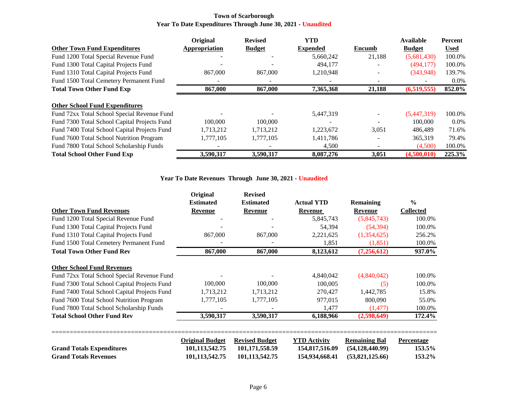#### **Town of Scarborough Year To Date Expenditures Through June 30, 2021 - Unaudited**

|                                              | Original      | <b>Revised</b> | <b>YTD</b>      |        | <b>Available</b> | <b>Percent</b> |
|----------------------------------------------|---------------|----------------|-----------------|--------|------------------|----------------|
| <b>Other Town Fund Expenditures</b>          | Appropriation | <b>Budget</b>  | <b>Expended</b> | Encumb | <b>Budget</b>    | <b>Used</b>    |
| Fund 1200 Total Special Revenue Fund         |               |                | 5,660,242       | 21,188 | (5,681,430)      | 100.0%         |
| Fund 1300 Total Capital Projects Fund        |               |                | 494,177         |        | (494, 177)       | 100.0%         |
| Fund 1310 Total Capital Projects Fund        | 867,000       | 867,000        | 1,210,948       |        | (343,948)        | 139.7%         |
| Fund 1500 Total Cemetery Permanent Fund      |               |                |                 |        |                  | $0.0\%$        |
| <b>Total Town Other Fund Exp</b>             | 867,000       | 867,000        | 7,365,368       | 21,188 | (6,519,555)      | 852.0%         |
|                                              |               |                |                 |        |                  |                |
| <b>Other School Fund Expenditures</b>        |               |                |                 |        |                  |                |
| Fund 72xx Total School Special Revenue Fund  |               |                | 5,447,319       |        | (5,447,319)      | 100.0%         |
| Fund 7300 Total School Capital Projects Fund | 100,000       | 100,000        |                 |        | 100,000          | $0.0\%$        |
| Fund 7400 Total School Capital Projects Fund | 1,713,212     | 1,713,212      | 1,223,672       | 3,051  | 486,489          | 71.6%          |
| Fund 7600 Total School Nutrition Program     | 1,777,105     | 1,777,105      | 1,411,786       |        | 365,319          | 79.4%          |
| Fund 7800 Total School Scholarship Funds     |               |                | 4,500           |        | (4,500)          | 100.0%         |
| <b>Total School Other Fund Exp</b>           | 3,590,317     | 3,590,317      | 8,087,276       | 3,051  | (4,500,010)      | 225.3%         |

### **Year To Date Revenues Through June 30, 2021 - Unaudited**

|                                              | Original               | <b>Revised</b>        |                     |                      |                  |
|----------------------------------------------|------------------------|-----------------------|---------------------|----------------------|------------------|
|                                              | <b>Estimated</b>       | <b>Estimated</b>      | <b>Actual YTD</b>   | Remaining            | $\frac{0}{0}$    |
| <b>Other Town Fund Revenues</b>              | Revenue                | <b>Revenue</b>        | Revenue             | <b>Revenue</b>       | <b>Collected</b> |
| Fund 1200 Total Special Revenue Fund         |                        |                       | 5,845,743           | (5,845,743)          | 100.0%           |
| Fund 1300 Total Capital Projects Fund        |                        |                       | 54,394              | (54, 394)            | 100.0%           |
| Fund 1310 Total Capital Projects Fund        | 867,000                | 867,000               | 2,221,625           | (1,354,625)          | 256.2%           |
| Fund 1500 Total Cemetery Permanent Fund      |                        |                       | 1,851               | (1, 851)             | 100.0%           |
| <b>Total Town Other Fund Rev</b>             | 867,000                | 867,000               | 8,123,612           | (7,256,612)          | 937.0%           |
| <b>Other School Fund Revenues</b>            |                        |                       |                     |                      |                  |
| Fund 72xx Total School Special Revenue Fund  |                        |                       | 4,840,042           | (4,840,042)          | 100.0%           |
| Fund 7300 Total School Capital Projects Fund | 100,000                | 100,000               | 100,005             | (5)                  | 100.0%           |
| Fund 7400 Total School Capital Projects Fund | 1,713,212              | 1,713,212             | 270,427             | 1,442,785            | 15.8%            |
| Fund 7600 Total School Nutrition Program     | 1,777,105              | 1,777,105             | 977,015             | 800,090              | 55.0%            |
| Fund 7800 Total School Scholarship Funds     |                        |                       | 1,477               | (1, 477)             | 100.0%           |
| <b>Total School Other Fund Rev</b>           | 3,590,317              | 3,590,317             | 6,188,966           | (2,598,649)          | 172.4%           |
|                                              | <b>Original Budget</b> | <b>Revised Budget</b> | <b>YTD Activity</b> | <b>Remaining Bal</b> | Percentage       |
| <b>Grand Totals Expenditures</b>             | 101,113,542.75         | 101,171,558.59        | 154,817,516.09      | (54, 128, 440.99)    | 153.5%           |
| <b>Grand Totals Revenues</b>                 | 101,113,542.75         | 101,113,542.75        | 154,934,668.41      | (53,821,125.66)      | 153.2%           |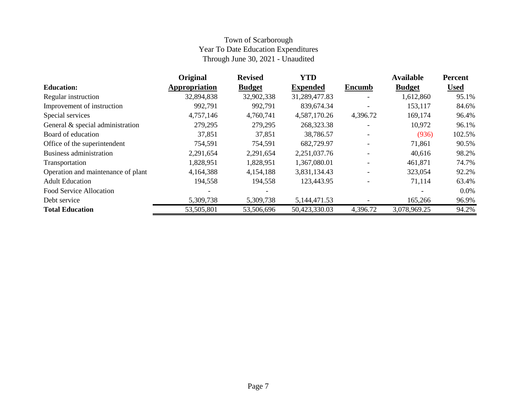## Town of Scarborough Year To Date Education Expenditures Through June 30, 2021 - Unaudited

|                                    | <b>Original</b> | <b>Revised</b> | <b>YTD</b>      |                          | <b>Available</b> | <b>Percent</b> |
|------------------------------------|-----------------|----------------|-----------------|--------------------------|------------------|----------------|
| <b>Education:</b>                  | Appropriation   | <b>Budget</b>  | <b>Expended</b> | <b>Encumb</b>            | <b>Budget</b>    | <b>Used</b>    |
| Regular instruction                | 32,894,838      | 32,902,338     | 31,289,477.83   | $\overline{\phantom{0}}$ | 1,612,860        | 95.1%          |
| Improvement of instruction         | 992,791         | 992,791        | 839,674.34      |                          | 153,117          | 84.6%          |
| Special services                   | 4,757,146       | 4,760,741      | 4,587,170.26    | 4,396.72                 | 169,174          | 96.4%          |
| General & special administration   | 279,295         | 279,295        | 268,323.38      |                          | 10,972           | 96.1%          |
| Board of education                 | 37,851          | 37,851         | 38,786.57       |                          | (936)            | 102.5%         |
| Office of the superintendent       | 754,591         | 754,591        | 682,729.97      |                          | 71,861           | 90.5%          |
| Business administration            | 2,291,654       | 2,291,654      | 2,251,037.76    |                          | 40,616           | 98.2%          |
| Transportation                     | 1,828,951       | 1,828,951      | 1,367,080.01    |                          | 461,871          | 74.7%          |
| Operation and maintenance of plant | 4,164,388       | 4,154,188      | 3,831,134.43    |                          | 323,054          | 92.2%          |
| <b>Adult Education</b>             | 194,558         | 194,558        | 123,443.95      |                          | 71,114           | 63.4%          |
| Food Service Allocation            |                 |                |                 |                          |                  | $0.0\%$        |
| Debt service                       | 5,309,738       | 5,309,738      | 5,144,471.53    |                          | 165,266          | 96.9%          |
| <b>Total Education</b>             | 53,505,801      | 53,506,696     | 50,423,330.03   | 4,396.72                 | 3,078,969.25     | 94.2%          |